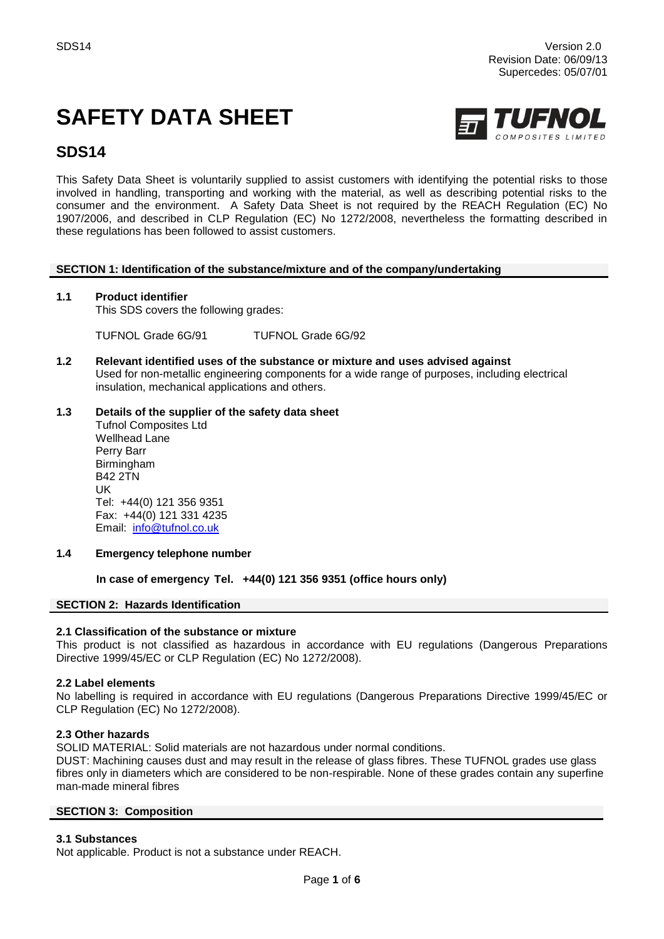# **SAFETY DATA SHEET**



# **SDS14**

This Safety Data Sheet is voluntarily supplied to assist customers with identifying the potential risks to those involved in handling, transporting and working with the material, as well as describing potential risks to the consumer and the environment. A Safety Data Sheet is not required by the REACH Regulation (EC) No 1907/2006, and described in CLP Regulation (EC) No 1272/2008, nevertheless the formatting described in these regulations has been followed to assist customers.

# **SECTION 1: Identification of the substance/mixture and of the company/undertaking**

# **1.1 Product identifier**

This SDS covers the following grades:

TUFNOL Grade 6G/91 TUFNOL Grade 6G/92

**1.2 Relevant identified uses of the substance or mixture and uses advised against** Used for non-metallic engineering components for a wide range of purposes, including electrical insulation, mechanical applications and others.

# **1.3 Details of the supplier of the safety data sheet**

Tufnol Composites Ltd Wellhead Lane Perry Barr Birmingham B42 2TN UK Tel: +44(0) 121 356 9351 Fax: +44(0) 121 331 4235 Email: [info@tufnol.co.uk](mailto:info@tufnol.co.uk)

#### **1.4 Emergency telephone number**

**In case of emergency Tel. +44(0) 121 356 9351 (office hours only)**

#### **SECTION 2: Hazards Identification**

#### **2.1 Classification of the substance or mixture**

This product is not classified as hazardous in accordance with EU regulations (Dangerous Preparations Directive 1999/45/EC or CLP Regulation (EC) No 1272/2008).

#### **2.2 Label elements**

No labelling is required in accordance with EU regulations (Dangerous Preparations Directive 1999/45/EC or CLP Regulation (EC) No 1272/2008).

#### **2.3 Other hazards**

SOLID MATERIAL: Solid materials are not hazardous under normal conditions.

DUST: Machining causes dust and may result in the release of glass fibres. These TUFNOL grades use glass fibres only in diameters which are considered to be non-respirable. None of these grades contain any superfine man-made mineral fibres

# **SECTION 3: Composition**

#### **3.1 Substances**

Not applicable. Product is not a substance under REACH.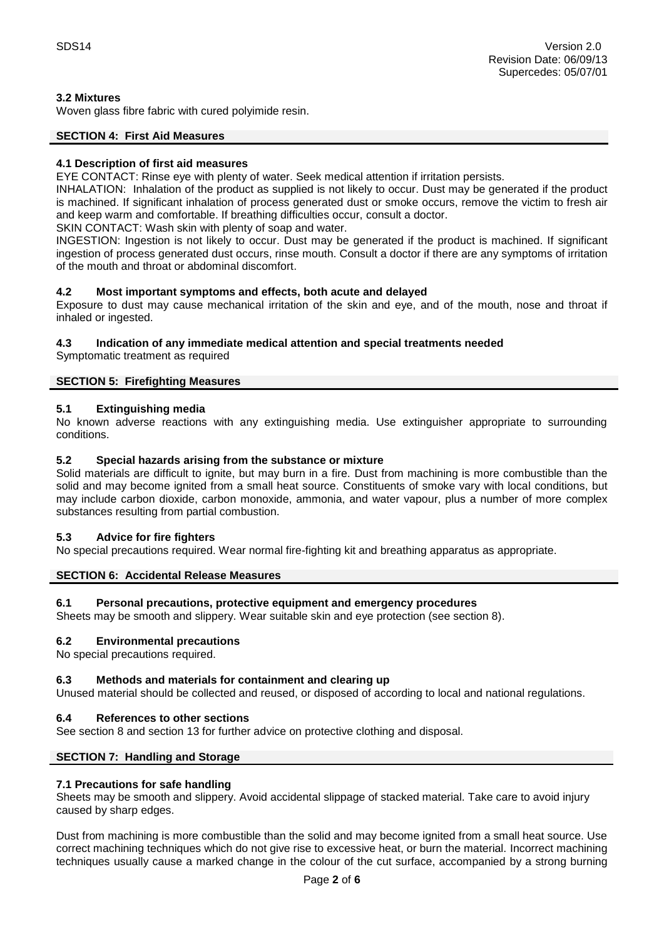Woven glass fibre fabric with cured polyimide resin.

#### **SECTION 4: First Aid Measures**

#### **4.1 Description of first aid measures**

EYE CONTACT: Rinse eye with plenty of water. Seek medical attention if irritation persists.

INHALATION: Inhalation of the product as supplied is not likely to occur. Dust may be generated if the product is machined. If significant inhalation of process generated dust or smoke occurs, remove the victim to fresh air and keep warm and comfortable. If breathing difficulties occur, consult a doctor.

SKIN CONTACT: Wash skin with plenty of soap and water.

INGESTION: Ingestion is not likely to occur. Dust may be generated if the product is machined. If significant ingestion of process generated dust occurs, rinse mouth. Consult a doctor if there are any symptoms of irritation of the mouth and throat or abdominal discomfort.

#### **4.2 Most important symptoms and effects, both acute and delayed**

Exposure to dust may cause mechanical irritation of the skin and eye, and of the mouth, nose and throat if inhaled or ingested.

#### **4.3 Indication of any immediate medical attention and special treatments needed**

Symptomatic treatment as required

#### **SECTION 5: Firefighting Measures**

#### **5.1 Extinguishing media**

No known adverse reactions with any extinguishing media. Use extinguisher appropriate to surrounding conditions.

#### **5.2 Special hazards arising from the substance or mixture**

Solid materials are difficult to ignite, but may burn in a fire. Dust from machining is more combustible than the solid and may become ignited from a small heat source. Constituents of smoke vary with local conditions, but may include carbon dioxide, carbon monoxide, ammonia, and water vapour, plus a number of more complex substances resulting from partial combustion.

#### **5.3 Advice for fire fighters**

No special precautions required. Wear normal fire-fighting kit and breathing apparatus as appropriate.

#### **SECTION 6: Accidental Release Measures**

#### **6.1 Personal precautions, protective equipment and emergency procedures**

Sheets may be smooth and slippery. Wear suitable skin and eye protection (see section 8).

#### **6.2 Environmental precautions**

No special precautions required.

#### **6.3 Methods and materials for containment and clearing up**

Unused material should be collected and reused, or disposed of according to local and national regulations.

#### **6.4 References to other sections**

See section 8 and section 13 for further advice on protective clothing and disposal.

#### **SECTION 7: Handling and Storage**

#### **7.1 Precautions for safe handling**

Sheets may be smooth and slippery. Avoid accidental slippage of stacked material. Take care to avoid injury caused by sharp edges.

Dust from machining is more combustible than the solid and may become ignited from a small heat source. Use correct machining techniques which do not give rise to excessive heat, or burn the material. Incorrect machining techniques usually cause a marked change in the colour of the cut surface, accompanied by a strong burning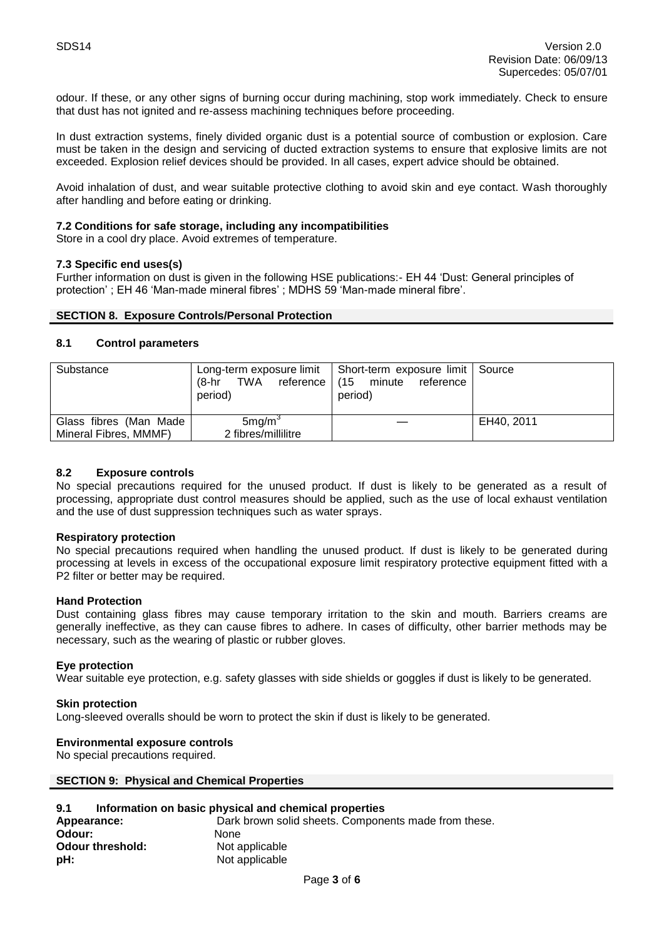odour. If these, or any other signs of burning occur during machining, stop work immediately. Check to ensure that dust has not ignited and re-assess machining techniques before proceeding.

In dust extraction systems, finely divided organic dust is a potential source of combustion or explosion. Care must be taken in the design and servicing of ducted extraction systems to ensure that explosive limits are not exceeded. Explosion relief devices should be provided. In all cases, expert advice should be obtained.

Avoid inhalation of dust, and wear suitable protective clothing to avoid skin and eye contact. Wash thoroughly after handling and before eating or drinking.

#### **7.2 Conditions for safe storage, including any incompatibilities**

Store in a cool dry place. Avoid extremes of temperature.

#### **7.3 Specific end uses(s)**

Further information on dust is given in the following HSE publications:- EH 44 'Dust: General principles of protection' ; EH 46 'Man-made mineral fibres' ; MDHS 59 'Man-made mineral fibre'.

#### **SECTION 8. Exposure Controls/Personal Protection**

#### **8.1 Control parameters**

| Substance              | $(8-hr)$<br>TWA<br>period) | Long-term exposure limit   Short-term exposure limit   Source<br>reference   (15 minute<br>reference<br>period) |            |
|------------------------|----------------------------|-----------------------------------------------------------------------------------------------------------------|------------|
| Glass fibres (Man Made | 5mg/m <sup>3</sup>         |                                                                                                                 | EH40, 2011 |
| Mineral Fibres, MMMF)  | 2 fibres/millilitre        |                                                                                                                 |            |

## **8.2 Exposure controls**

No special precautions required for the unused product. If dust is likely to be generated as a result of processing, appropriate dust control measures should be applied, such as the use of local exhaust ventilation and the use of dust suppression techniques such as water sprays.

#### **Respiratory protection**

No special precautions required when handling the unused product. If dust is likely to be generated during processing at levels in excess of the occupational exposure limit respiratory protective equipment fitted with a P2 filter or better may be required.

#### **Hand Protection**

Dust containing glass fibres may cause temporary irritation to the skin and mouth. Barriers creams are generally ineffective, as they can cause fibres to adhere. In cases of difficulty, other barrier methods may be necessary, such as the wearing of plastic or rubber gloves.

#### **Eye protection**

Wear suitable eye protection, e.g. safety glasses with side shields or goggles if dust is likely to be generated.

#### **Skin protection**

Long-sleeved overalls should be worn to protect the skin if dust is likely to be generated.

#### **Environmental exposure controls**

No special precautions required.

#### **SECTION 9: Physical and Chemical Properties**

# **9.1 Information on basic physical and chemical properties Appearance:** Dark brown solid sheets. Components made from these. **Odour:** None **Odour threshold:** Not applicable **pH:** Not applicable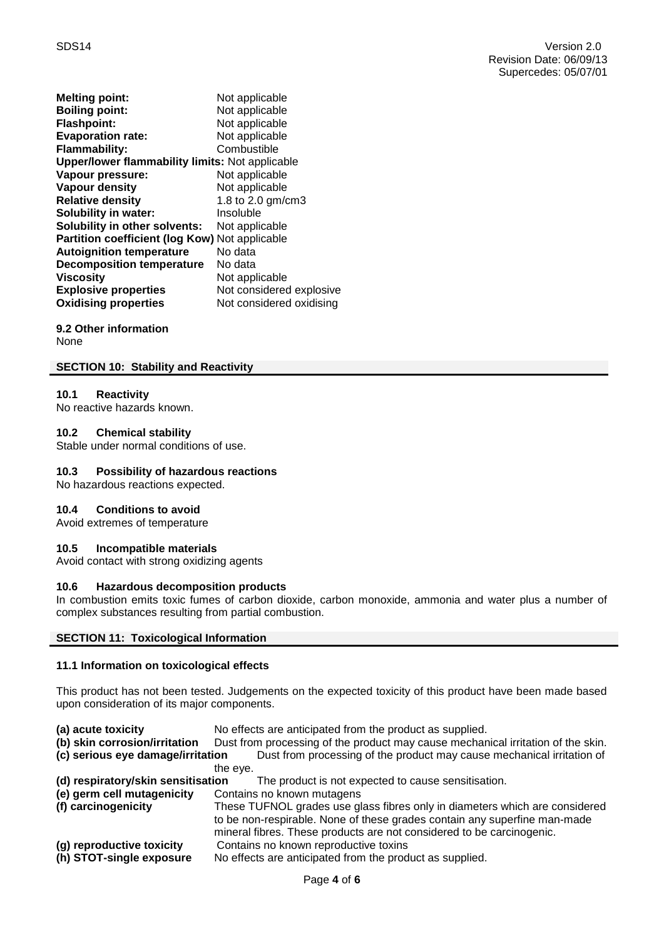| <b>Melting point:</b>                                  | Not applicable           |  |
|--------------------------------------------------------|--------------------------|--|
| <b>Boiling point:</b>                                  | Not applicable           |  |
| <b>Flashpoint:</b>                                     | Not applicable           |  |
| <b>Evaporation rate:</b>                               | Not applicable           |  |
| <b>Flammability:</b>                                   | Combustible              |  |
| <b>Upper/lower flammability limits: Not applicable</b> |                          |  |
| Vapour pressure:                                       | Not applicable           |  |
| <b>Vapour density</b>                                  | Not applicable           |  |
| <b>Relative density</b>                                | 1.8 to 2.0 gm/cm3        |  |
| <b>Solubility in water:</b>                            | Insoluble                |  |
| <b>Solubility in other solvents:</b>                   | Not applicable           |  |
| Partition coefficient (log Kow) Not applicable         |                          |  |
| <b>Autoignition temperature</b>                        | No data                  |  |
| <b>Decomposition temperature</b>                       | No data                  |  |
| <b>Viscosity</b>                                       | Not applicable           |  |
| <b>Explosive properties</b>                            | Not considered explosive |  |
| <b>Oxidising properties</b>                            | Not considered oxidising |  |
|                                                        |                          |  |

# **9.2 Other information**

None

# **SECTION 10: Stability and Reactivity**

#### **10.1 Reactivity**

No reactive hazards known.

# **10.2 Chemical stability**

Stable under normal conditions of use.

# **10.3 Possibility of hazardous reactions**

No hazardous reactions expected.

# **10.4 Conditions to avoid**

Avoid extremes of temperature

#### **10.5 Incompatible materials**

Avoid contact with strong oxidizing agents

#### **10.6 Hazardous decomposition products**

In combustion emits toxic fumes of carbon dioxide, carbon monoxide, ammonia and water plus a number of complex substances resulting from partial combustion.

# **SECTION 11: Toxicological Information**

#### **11.1 Information on toxicological effects**

This product has not been tested. Judgements on the expected toxicity of this product have been made based upon consideration of its major components.

| (a) acute toxicity                 | No effects are anticipated from the product as supplied.                         |  |  |
|------------------------------------|----------------------------------------------------------------------------------|--|--|
| (b) skin corrosion/irritation      | Dust from processing of the product may cause mechanical irritation of the skin. |  |  |
| (c) serious eye damage/irritation  | Dust from processing of the product may cause mechanical irritation of           |  |  |
|                                    | the eye.                                                                         |  |  |
| (d) respiratory/skin sensitisation | The product is not expected to cause sensitisation.                              |  |  |
| (e) germ cell mutagenicity         | Contains no known mutagens                                                       |  |  |
| (f) carcinogenicity                | These TUFNOL grades use glass fibres only in diameters which are considered      |  |  |
|                                    | to be non-respirable. None of these grades contain any superfine man-made        |  |  |
|                                    | mineral fibres. These products are not considered to be carcinogenic.            |  |  |
| (g) reproductive toxicity          | Contains no known reproductive toxins                                            |  |  |
| (h) STOT-single exposure           | No effects are anticipated from the product as supplied.                         |  |  |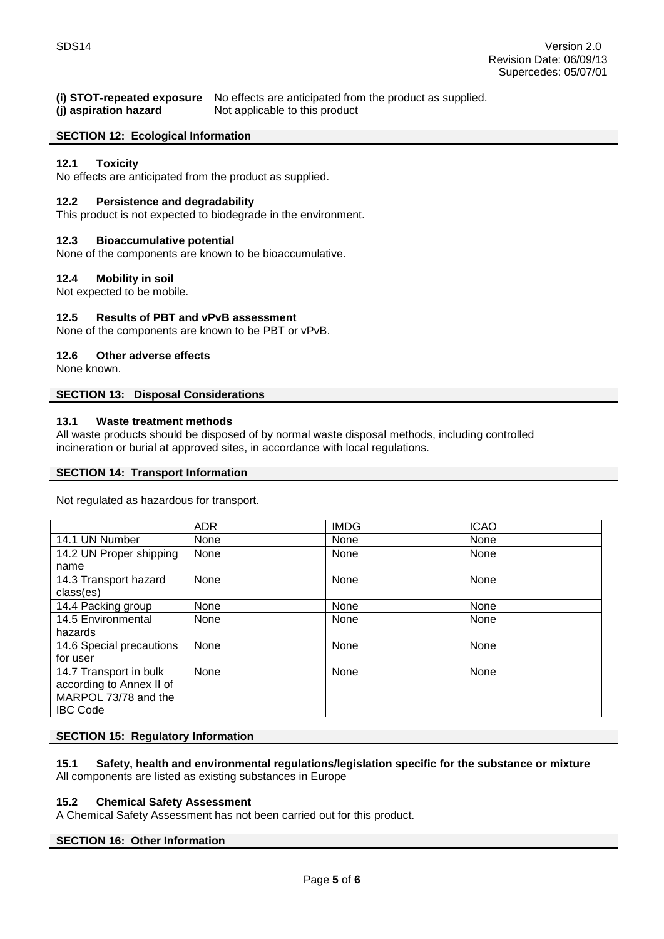# **(i) STOT-repeated exposure** No effects are anticipated from the product as supplied.

# (i) aspiration hazard **Not** applicable to this product

# **SECTION 12: Ecological Information**

# **12.1 Toxicity**

No effects are anticipated from the product as supplied.

# **12.2 Persistence and degradability**

This product is not expected to biodegrade in the environment.

# **12.3 Bioaccumulative potential**

None of the components are known to be bioaccumulative.

#### **12.4 Mobility in soil**

Not expected to be mobile.

# **12.5 Results of PBT and vPvB assessment**

None of the components are known to be PBT or vPvB.

#### **12.6 Other adverse effects**

None known.

# **SECTION 13: Disposal Considerations**

#### **13.1 Waste treatment methods**

All waste products should be disposed of by normal waste disposal methods, including controlled incineration or burial at approved sites, in accordance with local regulations.

### **SECTION 14: Transport Information**

Not regulated as hazardous for transport.

|                          | <b>ADR</b> | <b>IMDG</b> | <b>ICAO</b> |
|--------------------------|------------|-------------|-------------|
| 14.1 UN Number           | None       | None        | None        |
| 14.2 UN Proper shipping  | None       | None        | None        |
| name                     |            |             |             |
| 14.3 Transport hazard    | None       | None        | None        |
| class(es)                |            |             |             |
| 14.4 Packing group       | None       | None        | None        |
| 14.5 Environmental       | None       | None        | None        |
| hazards                  |            |             |             |
| 14.6 Special precautions | None       | None        | None        |
| for user                 |            |             |             |
| 14.7 Transport in bulk   | None       | None        | None        |
| according to Annex II of |            |             |             |
| MARPOL 73/78 and the     |            |             |             |
| <b>IBC Code</b>          |            |             |             |

#### **SECTION 15: Regulatory Information**

**15.1 Safety, health and environmental regulations/legislation specific for the substance or mixture** All components are listed as existing substances in Europe

#### **15.2 Chemical Safety Assessment**

A Chemical Safety Assessment has not been carried out for this product.

#### **SECTION 16: Other Information**